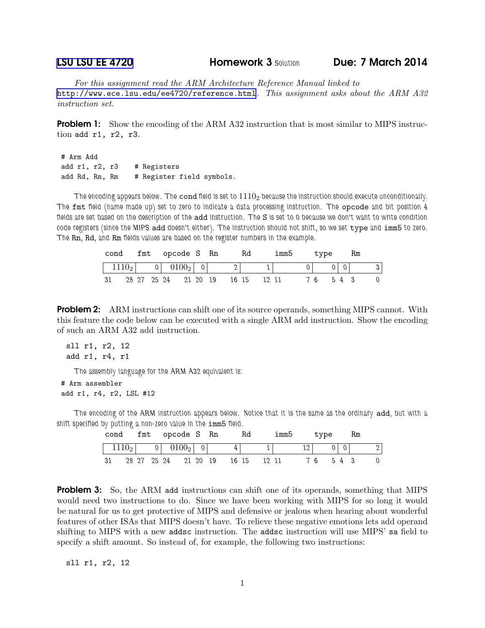## [LSU LSU EE 4720](http://www.ece.lsu.edu/ee4720/) Homework 3 Solution Due: 7 March 2014

For this assignment read the ARM Architecture Reference Manual linked to <http://www.ece.lsu.edu/ee4720/reference.html>. This assignment asks about the ARM A32 instruction set.

**Problem 1:** Show the encoding of the ARM A32 instruction that is most similar to MIPS instruction add r1, r2, r3.

```
# Arm Add
add r1, r2, r3 # Registers
add Rd, Rn, Rm # Register field symbols.
```
The encoding appears below. The cond field is set to  $1110<sub>2</sub>$  because the instruction should execute unconditionally. The fmt field (name made up) set to zero to indicate a data processing instruction. The opcode and bit position 4 fields are set based on the description of the add instruction. The S is set to 0 because we don't want to write condition code registers (since the MIPS add doesn't either). The instruction should not shift, so we set type and imm5 to zero. The Rn, Rd, and Rm fields values are based on the register numbers in the example.

| cond fmt opcode S Rn                                    |                                  |  |  |  | Rd | imm5 | type    | Rm |   |
|---------------------------------------------------------|----------------------------------|--|--|--|----|------|---------|----|---|
| $\begin{bmatrix} 1110_2 & 0 & 0100_2 & 0 \end{bmatrix}$ |                                  |  |  |  |    |      |         |    |   |
| - 31                                                    | 28 27 25 24 21 20 19 16 15 12 11 |  |  |  |    |      | 76 54 3 |    | 0 |

**Problem 2:** ARM instructions can shift one of its source operands, something MIPS cannot. With this feature the code below can be executed with a single ARM add instruction. Show the encoding of such an ARM A32 add instruction.

```
sll r1, r2, 12
add r1, r4, r1
```
The assembly language for the ARM A32 equivalent is:

```
# Arm assembler
add r1, r4, r2, LSL #12
```
The encoding of the ARM instruction appears below. Notice that it is the same as the ordinary add, but with a shift specified by putting a non-zero value in the imm5 field.

|      |  |  | cond fmt opcode S Rn               |  | - Rd | imm5 | type       |  | Rm |  |
|------|--|--|------------------------------------|--|------|------|------------|--|----|--|
|      |  |  | $1110_2$ 0 0100 <sub>2</sub> 0     |  |      |      | $12$ 0 0 0 |  |    |  |
| - 31 |  |  | . 28 27 25 24 21 20 19 16 15 12 11 |  |      |      | 76 54 3    |  |    |  |

**Problem 3:** So, the ARM add instructions can shift one of its operands, something that MIPS would need two instructions to do. Since we have been working with MIPS for so long it would be natural for us to get protective of MIPS and defensive or jealous when hearing about wonderful features of other ISAs that MIPS doesn't have. To relieve these negative emotions lets add operand shifting to MIPS with a new addsc instruction. The addsc instruction will use MIPS' sa field to specify a shift amount. So instead of, for example, the following two instructions:

sll r1, r2, 12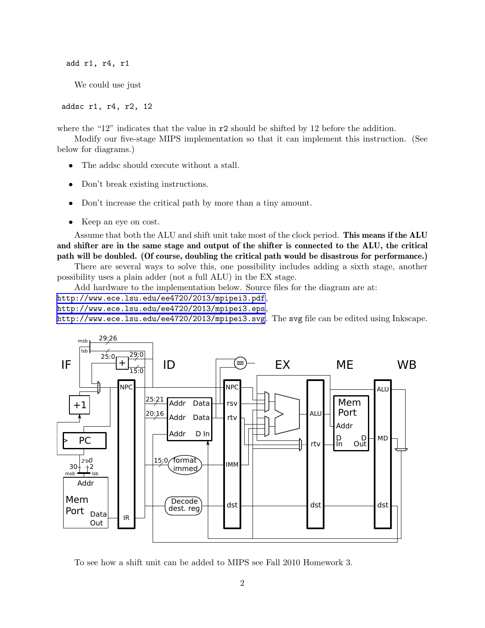add r1, r4, r1

We could use just

addsc r1, r4, r2, 12

where the "12" indicates that the value in  $r^2$  should be shifted by 12 before the addition.

Modify our five-stage MIPS implementation so that it can implement this instruction. (See below for diagrams.)

- The addsc should execute without a stall.
- Don't break existing instructions.
- Don't increase the critical path by more than a tiny amount.
- Keep an eye on cost.

Assume that both the ALU and shift unit take most of the clock period. This means if the ALU and shifter are in the same stage and output of the shifter is connected to the ALU, the critical path will be doubled. (Of course, doubling the critical path would be disastrous for performance.)

There are several ways to solve this, one possibility includes adding a sixth stage, another possibility uses a plain adder (not a full ALU) in the EX stage.

Add hardware to the implementation below. Source files for the diagram are at:

<http://www.ece.lsu.edu/ee4720/2013/mpipei3.pdf>,

<http://www.ece.lsu.edu/ee4720/2013/mpipei3.eps>,

<http://www.ece.lsu.edu/ee4720/2013/mpipei3.svg>. The svg file can be edited using Inkscape.



To see how a shift unit can be added to MIPS see Fall 2010 Homework 3.